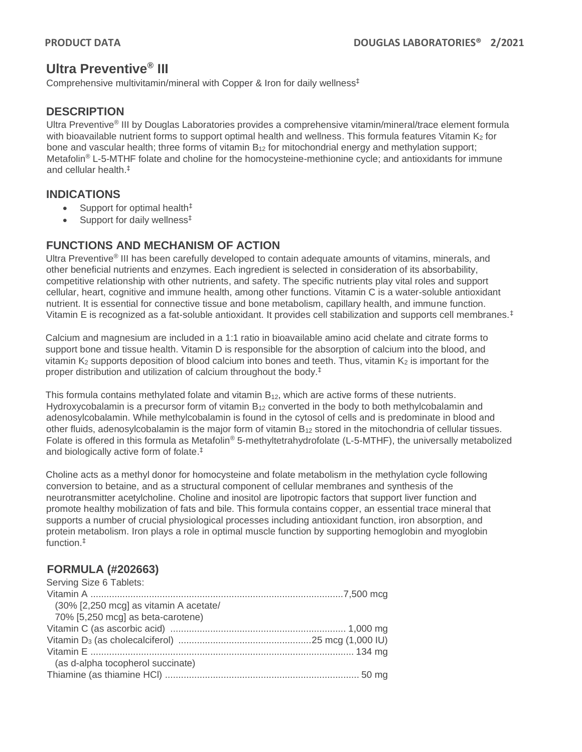# **Ultra Preventive® III**

Comprehensive multivitamin/mineral with Copper & Iron for daily wellness‡

# **DESCRIPTION**

Ultra Preventive® III by Douglas Laboratories provides a comprehensive vitamin/mineral/trace element formula with bioavailable nutrient forms to support optimal health and wellness. This formula features Vitamin K2 for bone and vascular health; three forms of vitamin B<sup>12</sup> for mitochondrial energy and methylation support; Metafolin<sup>®</sup> L-5-MTHF folate and choline for the homocysteine-methionine cycle; and antioxidants for immune and cellular health.‡

### **INDICATIONS**

- Support for optimal health $\ddagger$
- Support for daily wellness<sup>‡</sup>

## **FUNCTIONS AND MECHANISM OF ACTION**

Ultra Preventive® III has been carefully developed to contain adequate amounts of vitamins, minerals, and other beneficial nutrients and enzymes. Each ingredient is selected in consideration of its absorbability, competitive relationship with other nutrients, and safety. The specific nutrients play vital roles and support cellular, heart, cognitive and immune health, among other functions. Vitamin C is a water-soluble antioxidant nutrient. It is essential for connective tissue and bone metabolism, capillary health, and immune function. Vitamin E is recognized as a fat-soluble antioxidant. It provides cell stabilization and supports cell membranes.‡

Calcium and magnesium are included in a 1:1 ratio in bioavailable amino acid chelate and citrate forms to support bone and tissue health. Vitamin D is responsible for the absorption of calcium into the blood, and vitamin  $K_2$  supports deposition of blood calcium into bones and teeth. Thus, vitamin  $K_2$  is important for the proper distribution and utilization of calcium throughout the body. ‡

This formula contains methylated folate and vitamin B<sub>12</sub>, which are active forms of these nutrients. Hydroxycobalamin is a precursor form of vitamin B<sub>12</sub> converted in the body to both methylcobalamin and adenosylcobalamin. While methylcobalamin is found in the cytosol of cells and is predominate in blood and other fluids, adenosylcobalamin is the major form of vitamin B<sub>12</sub> stored in the mitochondria of cellular tissues. Folate is offered in this formula as Metafolin<sup>®</sup> 5-methyltetrahydrofolate (L-5-MTHF), the universally metabolized and biologically active form of folate. ‡

Choline acts as a methyl donor for homocysteine and folate metabolism in the methylation cycle following conversion to betaine, and as a structural component of cellular membranes and synthesis of the neurotransmitter acetylcholine. Choline and inositol are lipotropic factors that support liver function and promote healthy mobilization of fats and bile. This formula contains copper, an essential trace mineral that supports a number of crucial physiological processes including antioxidant function, iron absorption, and protein metabolism. Iron plays a role in optimal muscle function by supporting hemoglobin and myoglobin function.‡

# **FORMULA (#202663)**

| Serving Size 6 Tablets:                   |  |
|-------------------------------------------|--|
|                                           |  |
| $(30\%$ [2,250 mcg] as vitamin A acetate/ |  |
| 70% [5,250 mcg] as beta-carotene)         |  |
|                                           |  |
|                                           |  |
|                                           |  |
| (as d-alpha tocopherol succinate)         |  |
|                                           |  |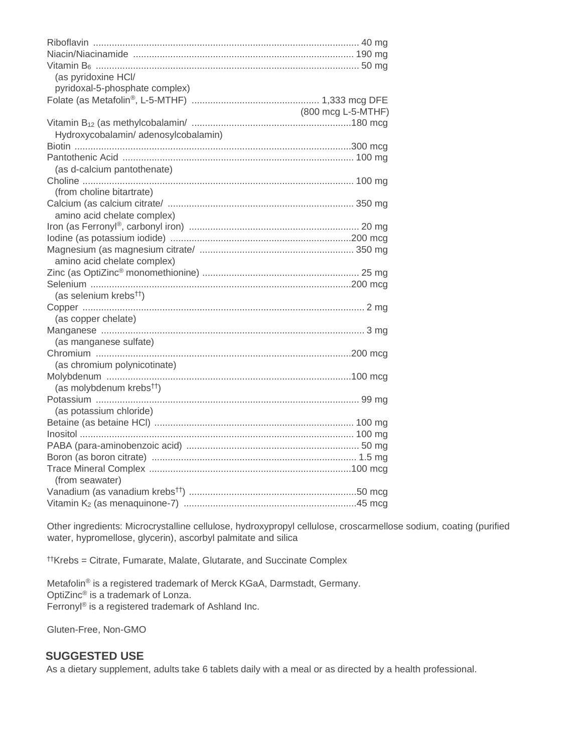| (as pyridoxine HCI/                  |                    |
|--------------------------------------|--------------------|
| pyridoxal-5-phosphate complex)       |                    |
|                                      |                    |
|                                      | (800 mcg L-5-MTHF) |
|                                      |                    |
| Hydroxycobalamin/adenosylcobalamin)  |                    |
|                                      |                    |
|                                      |                    |
|                                      |                    |
| (as d-calcium pantothenate)          |                    |
|                                      |                    |
| (from choline bitartrate)            |                    |
|                                      |                    |
| amino acid chelate complex)          |                    |
|                                      |                    |
|                                      |                    |
|                                      |                    |
| amino acid chelate complex)          |                    |
|                                      |                    |
|                                      |                    |
| (as selenium krebs <sup>††</sup> )   |                    |
|                                      |                    |
| (as copper chelate)                  |                    |
|                                      |                    |
| (as manganese sulfate)               |                    |
|                                      |                    |
| (as chromium polynicotinate)         |                    |
|                                      |                    |
|                                      |                    |
| (as molybdenum krebs <sup>tt</sup> ) |                    |
|                                      |                    |
| (as potassium chloride)              |                    |
|                                      |                    |
|                                      |                    |
|                                      |                    |
|                                      |                    |
|                                      |                    |
| (from seawater)                      |                    |
|                                      |                    |
|                                      |                    |

Other ingredients: Microcrystalline cellulose, hydroxypropyl cellulose, croscarmellose sodium, coating (purified water, hypromellose, glycerin), ascorbyl palmitate and silica

<sup>††</sup>Krebs = Citrate, Fumarate, Malate, Glutarate, and Succinate Complex

Metafolin® is a registered trademark of Merck KGaA, Darmstadt, Germany. OptiZinc<sup>®</sup> is a trademark of Lonza. Ferrony<sup>®</sup> is a registered trademark of Ashland Inc.

Gluten-Free, Non-GMO

#### **SUGGESTED USE**

As a dietary supplement, adults take 6 tablets daily with a meal or as directed by a health professional.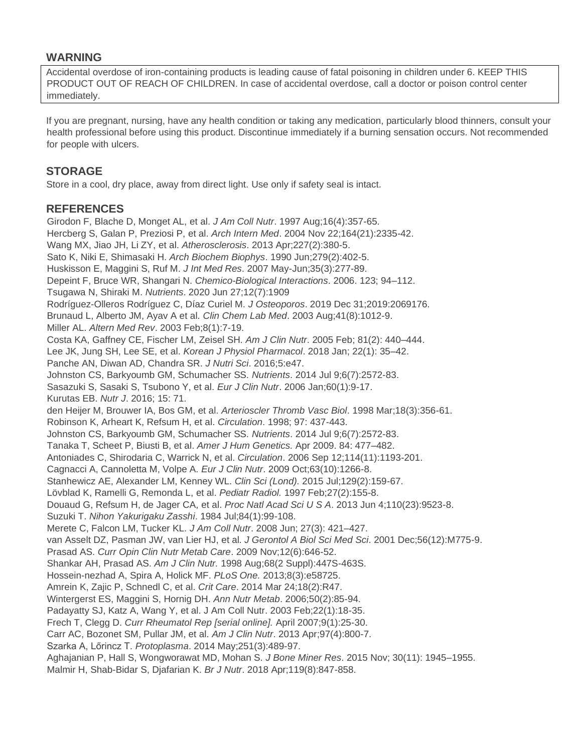### **WARNING**

Accidental overdose of iron-containing products is leading cause of fatal poisoning in children under 6. KEEP THIS PRODUCT OUT OF REACH OF CHILDREN. In case of accidental overdose, call a doctor or poison control center immediately.

If you are pregnant, nursing, have any health condition or taking any medication, particularly blood thinners, consult your health professional before using this product. Discontinue immediately if a burning sensation occurs. Not recommended for people with ulcers.

### **STORAGE**

Store in a cool, dry place, away from direct light. Use only if safety seal is intact.

#### **REFERENCES**

Girodon F, Blache D, Monget AL, et al. *J Am Coll Nutr*. 1997 Aug;16(4):357-65. Hercberg S, Galan P, Preziosi P, et al. *Arch Intern Med*. 2004 Nov 22;164(21):2335-42. Wang MX, Jiao JH, Li ZY, et al. *Atherosclerosis*. 2013 Apr;227(2):380-5. Sato K, Niki E, Shimasaki H. *Arch Biochem Biophys*. 1990 Jun;279(2):402-5. Huskisson E, Maggini S, Ruf M. *J Int Med Res*. 2007 May-Jun;35(3):277-89. Depeint F, Bruce WR, Shangari N. *Chemico-Biological Interactions*. 2006. 123; 94–112. Tsugawa N, Shiraki M. *Nutrients*. 2020 Jun 27;12(7):1909 Rodríguez-Olleros Rodríguez C, Díaz Curiel M. *J Osteoporos*. 2019 Dec 31;2019:2069176. Brunaud L, Alberto JM, Ayav A et al. *Clin Chem Lab Med*. 2003 Aug;41(8):1012-9. Miller AL. *Altern Med Rev*. 2003 Feb;8(1):7-19. Costa KA, Gaffney CE, Fischer LM, Zeisel SH. *Am J Clin Nutr*. 2005 Feb; 81(2): 440–444. Lee JK, Jung SH, Lee SE, et al. *Korean J Physiol Pharmacol*. 2018 Jan; 22(1): 35–42. Panche AN, Diwan AD, Chandra SR. *J Nutri Sci*. 2016;5:e47. Johnston CS, Barkyoumb GM, Schumacher SS. *Nutrients*. 2014 Jul 9;6(7):2572-83. Sasazuki S, Sasaki S, Tsubono Y, et al. *Eur J Clin Nutr*. 2006 Jan;60(1):9-17. Kurutas EB. *Nutr J*. 2016; 15: 71. den Heijer M, Brouwer IA, Bos GM, et al. *Arterioscler Thromb Vasc Biol*. 1998 Mar;18(3):356-61. Robinson K, Arheart K, Refsum H, et al. *Circulation*. 1998; 97: 437-443. Johnston CS, Barkyoumb GM, Schumacher SS. *Nutrients*. 2014 Jul 9;6(7):2572-83. Tanaka T, Scheet P, Biusti B, et al. *Amer J Hum Genetics.* Apr 2009. 84: 477–482. Antoniades C, Shirodaria C, Warrick N, et al. *Circulation*. 2006 Sep 12;114(11):1193-201. Cagnacci A, Cannoletta M, Volpe A. *Eur J Clin Nutr*. 2009 Oct;63(10):1266-8. Stanhewicz AE, Alexander LM, Kenney WL. *Clin Sci (Lond).* 2015 Jul;129(2):159-67. Lövblad K, Ramelli G, Remonda L, et al. *Pediatr Radiol.* 1997 Feb;27(2):155-8. Douaud G, Refsum H, de Jager CA, et al. *Proc Natl Acad Sci U S A*. 2013 Jun 4;110(23):9523-8. Suzuki T. *Nihon Yakurigaku Zasshi*. 1984 Jul;84(1):99-108. Merete C, Falcon LM, Tucker KL. *J Am Coll Nutr*. 2008 Jun; 27(3): 421–427. van Asselt DZ, Pasman JW, van Lier HJ, et al. *J Gerontol A Biol Sci Med Sci*. 2001 Dec;56(12):M775-9. Prasad AS. *Curr Opin Clin Nutr Metab Care*. 2009 Nov;12(6):646-52. Shankar AH, Prasad AS. *Am J Clin Nutr.* 1998 Aug;68(2 Suppl):447S-463S. Hossein-nezhad A, Spira A, Holick MF. *PLoS One.* 2013;8(3):e58725. Amrein K, Zajic P, Schnedl C, et al. *Crit Care*. 2014 Mar 24;18(2):R47. Wintergerst ES, Maggini S, Hornig DH. *Ann Nutr Metab*. 2006;50(2):85-94. Padayatty SJ, Katz A, Wang Y, et al. J Am Coll Nutr. 2003 Feb;22(1):18-35. Frech T, Clegg D. *Curr Rheumatol Rep [serial online].* April 2007;9(1):25-30. Carr AC, Bozonet SM, Pullar JM, et al. *Am J Clin Nutr*. 2013 Apr;97(4):800-7. Szarka A, Lőrincz T. *Protoplasma*. 2014 May;251(3):489-97. Aghajanian P, Hall S, Wongworawat MD, Mohan S. *J Bone Miner Res*. 2015 Nov; 30(11): 1945–1955.

Malmir H, Shab-Bidar S, Djafarian K. *Br J Nutr*. 2018 Apr;119(8):847-858.